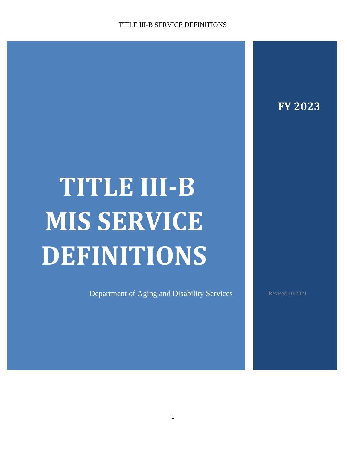# **FY 2023**

# **TITLE III-B MIS SERVICE DEFINITIONS**

Department of Aging and Disability Services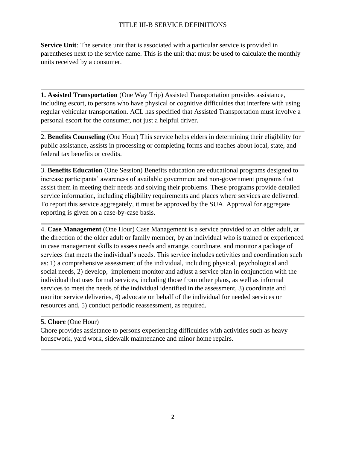**Service Unit**: The service unit that is associated with a particular service is provided in parentheses next to the service name. This is the unit that must be used to calculate the monthly units received by a consumer.

**1. Assisted Transportation** (One Way Trip) Assisted Transportation provides assistance, including escort, to persons who have physical or cognitive difficulties that interfere with using regular vehicular transportation. ACL has specified that Assisted Transportation must involve a personal escort for the consumer, not just a helpful driver.

2. **Benefits Counseling** (One Hour) This service helps elders in determining their eligibility for public assistance, assists in processing or completing forms and teaches about local, state, and federal tax benefits or credits.

3. **Benefits Education** (One Session) Benefits education are educational programs designed to increase participants' awareness of available government and non-government programs that assist them in meeting their needs and solving their problems. These programs provide detailed service information, including eligibility requirements and places where services are delivered. To report this service aggregately, it must be approved by the SUA. Approval for aggregate reporting is given on a case-by-case basis.

4. **Case Management** (One Hour) Case Management is a service provided to an older adult, at the direction of the older adult or family member, by an individual who is trained or experienced in case management skills to assess needs and arrange, coordinate, and monitor a package of services that meets the individual's needs. This service includes activities and coordination such as: 1) a comprehensive assessment of the individual, including physical, psychological and social needs, 2) develop, implement monitor and adjust a service plan in conjunction with the individual that uses formal services, including those from other plans, as well as informal services to meet the needs of the individual identified in the assessment, 3) coordinate and monitor service deliveries, 4) advocate on behalf of the individual for needed services or resources and, 5) conduct periodic reassessment, as required.

#### **5. Chore** (One Hour)

Chore provides assistance to persons experiencing difficulties with activities such as heavy housework, yard work, sidewalk maintenance and minor home repairs.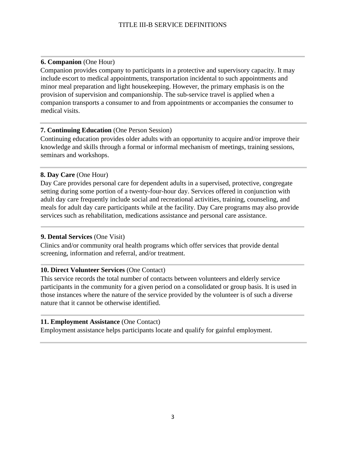# **6. Companion** (One Hour)

Companion provides company to participants in a protective and supervisory capacity. It may include escort to medical appointments, transportation incidental to such appointments and minor meal preparation and light housekeeping. However, the primary emphasis is on the provision of supervision and companionship. The sub-service travel is applied when a companion transports a consumer to and from appointments or accompanies the consumer to medical visits.

#### **7. Continuing Education** (One Person Session)

Continuing education provides older adults with an opportunity to acquire and/or improve their knowledge and skills through a formal or informal mechanism of meetings, training sessions, seminars and workshops.

# **8. Day Care** (One Hour)

Day Care provides personal care for dependent adults in a supervised, protective, congregate setting during some portion of a twenty-four-hour day. Services offered in conjunction with adult day care frequently include social and recreational activities, training, counseling, and meals for adult day care participants while at the facility. Day Care programs may also provide services such as rehabilitation, medications assistance and personal care assistance.

#### **9. Dental Services** (One Visit)

Clinics and/or community oral health programs which offer services that provide dental screening, information and referral, and/or treatment.

# **10. Direct Volunteer Services** (One Contact)

This service records the total number of contacts between volunteers and elderly service participants in the community for a given period on a consolidated or group basis. It is used in those instances where the nature of the service provided by the volunteer is of such a diverse nature that it cannot be otherwise identified.

# **11. Employment Assistance** (One Contact)

Employment assistance helps participants locate and qualify for gainful employment.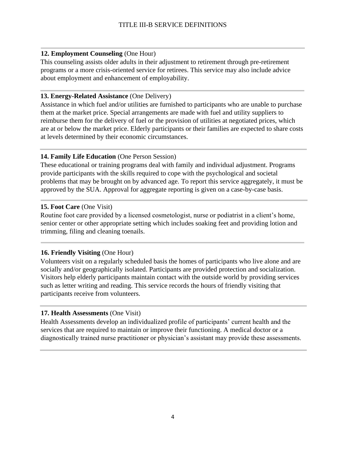# **12. Employment Counseling** (One Hour)

This counseling assists older adults in their adjustment to retirement through pre-retirement programs or a more crisis-oriented service for retirees. This service may also include advice about employment and enhancement of employability.

#### **13. Energy-Related Assistance** (One Delivery)

Assistance in which fuel and/or utilities are furnished to participants who are unable to purchase them at the market price. Special arrangements are made with fuel and utility suppliers to reimburse them for the delivery of fuel or the provision of utilities at negotiated prices, which are at or below the market price. Elderly participants or their families are expected to share costs at levels determined by their economic circumstances.

# **14. Family Life Education** (One Person Session)

These educational or training programs deal with family and individual adjustment. Programs provide participants with the skills required to cope with the psychological and societal problems that may be brought on by advanced age. To report this service aggregately, it must be approved by the SUA. Approval for aggregate reporting is given on a case-by-case basis.

# **15. Foot Care** (One Visit)

Routine foot care provided by a licensed cosmetologist, nurse or podiatrist in a client's home, senior center or other appropriate setting which includes soaking feet and providing lotion and trimming, filing and cleaning toenails.

# **16. Friendly Visiting** (One Hour)

Volunteers visit on a regularly scheduled basis the homes of participants who live alone and are socially and/or geographically isolated. Participants are provided protection and socialization. Visitors help elderly participants maintain contact with the outside world by providing services such as letter writing and reading. This service records the hours of friendly visiting that participants receive from volunteers.

# **17. Health Assessments** (One Visit)

Health Assessments develop an individualized profile of participants' current health and the services that are required to maintain or improve their functioning. A medical doctor or a diagnostically trained nurse practitioner or physician's assistant may provide these assessments.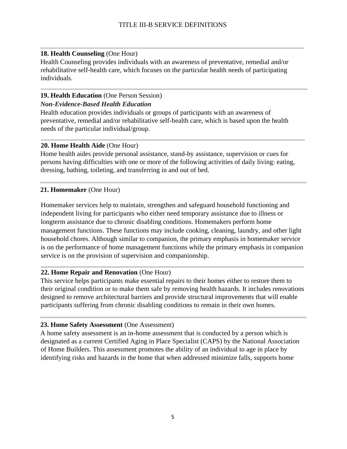# **18. Health Counseling** (One Hour)

Health Counseling provides individuals with an awareness of preventative, remedial and/or rehabilitative self-health care, which focuses on the particular health needs of participating individuals.

# **19. Health Education** (One Person Session)

# *Non-Evidence-Based Health Education*

Health education provides individuals or groups of participants with an awareness of preventative, remedial and/or rehabilitative self-health care, which is based upon the health needs of the particular individual/group.

# **20. Home Health Aide** (One Hour)

Home health aides provide personal assistance, stand-by assistance, supervision or cues for persons having difficulties with one or more of the following activities of daily living: eating, dressing, bathing, toileting, and transferring in and out of bed.

# **21. Homemaker** (One Hour)

Homemaker services help to maintain, strengthen and safeguard household functioning and independent living for participants who either need temporary assistance due to illness or longterm assistance due to chronic disabling conditions. Homemakers perform home management functions. These functions may include cooking, cleaning, laundry, and other light household chores. Although similar to companion, the primary emphasis in homemaker service is on the performance of home management functions while the primary emphasis in companion service is on the provision of supervision and companionship.

# **22. Home Repair and Renovation** (One Hour)

This service helps participants make essential repairs to their homes either to restore them to their original condition or to make them safe by removing health hazards. It includes renovations designed to remove architectural barriers and provide structural improvements that will enable participants suffering from chronic disabling conditions to remain in their own homes.

# **23. Home Safety Assessment** (One Assessment)

A home safety assessment is an in-home assessment that is conducted by a person which is designated as a current Certified Aging in Place Specialist (CAPS) by the National Association of Home Builders. This assessment promotes the ability of an individual to age in place by identifying risks and hazards in the home that when addressed minimize falls, supports home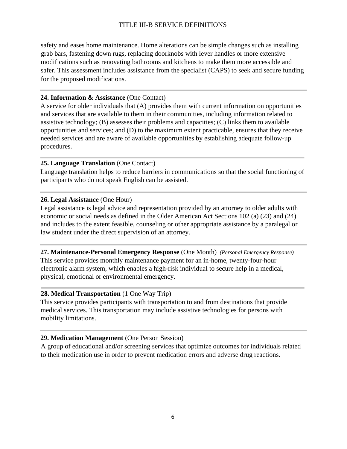safety and eases home maintenance. Home alterations can be simple changes such as installing grab bars, fastening down rugs, replacing doorknobs with lever handles or more extensive modifications such as renovating bathrooms and kitchens to make them more accessible and safer. This assessment includes assistance from the specialist (CAPS) to seek and secure funding for the proposed modifications.

#### **24. Information & Assistance** (One Contact)

A service for older individuals that (A) provides them with current information on opportunities and services that are available to them in their communities, including information related to assistive technology; (B) assesses their problems and capacities; (C) links them to available opportunities and services; and (D) to the maximum extent practicable, ensures that they receive needed services and are aware of available opportunities by establishing adequate follow-up procedures.

#### **25. Language Translation** (One Contact)

Language translation helps to reduce barriers in communications so that the social functioning of participants who do not speak English can be assisted.

#### **26. Legal Assistance** (One Hour)

Legal assistance is legal advice and representation provided by an attorney to older adults with economic or social needs as defined in the Older American Act Sections 102 (a) (23) and (24) and includes to the extent feasible, counseling or other appropriate assistance by a paralegal or law student under the direct supervision of an attorney.

**27. Maintenance-Personal Emergency Response** (One Month) *(Personal Emergency Response)* This service provides monthly maintenance payment for an in-home, twenty-four-hour electronic alarm system, which enables a high-risk individual to secure help in a medical, physical, emotional or environmental emergency.

#### **28. Medical Transportation** (1 One Way Trip)

This service provides participants with transportation to and from destinations that provide medical services. This transportation may include assistive technologies for persons with mobility limitations.

#### **29. Medication Management** (One Person Session)

A group of educational and/or screening services that optimize outcomes for individuals related to their medication use in order to prevent medication errors and adverse drug reactions.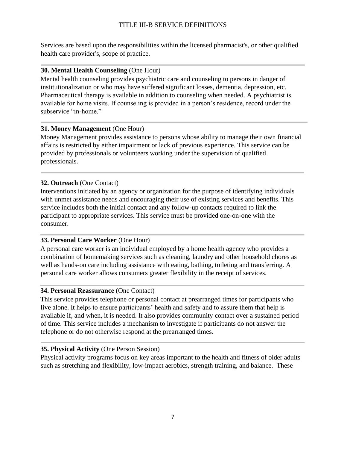Services are based upon the responsibilities within the licensed pharmacist's, or other qualified health care provider's, scope of practice.

#### **30. Mental Health Counseling** (One Hour)

Mental health counseling provides psychiatric care and counseling to persons in danger of institutionalization or who may have suffered significant losses, dementia, depression, etc. Pharmaceutical therapy is available in addition to counseling when needed. A psychiatrist is available for home visits. If counseling is provided in a person's residence, record under the subservice "in-home."

#### **31. Money Management** (One Hour)

Money Management provides assistance to persons whose ability to manage their own financial affairs is restricted by either impairment or lack of previous experience. This service can be provided by professionals or volunteers working under the supervision of qualified professionals.

#### **32. Outreach** (One Contact)

Interventions initiated by an agency or organization for the purpose of identifying individuals with unmet assistance needs and encouraging their use of existing services and benefits. This service includes both the initial contact and any follow-up contacts required to link the participant to appropriate services. This service must be provided one-on-one with the consumer.

#### **33. Personal Care Worker** (One Hour)

A personal care worker is an individual employed by a home health agency who provides a combination of homemaking services such as cleaning, laundry and other household chores as well as hands-on care including assistance with eating, bathing, toileting and transferring. A personal care worker allows consumers greater flexibility in the receipt of services.

#### **34. Personal Reassurance** (One Contact)

This service provides telephone or personal contact at prearranged times for participants who live alone. It helps to ensure participants' health and safety and to assure them that help is available if, and when, it is needed. It also provides community contact over a sustained period of time. This service includes a mechanism to investigate if participants do not answer the telephone or do not otherwise respond at the prearranged times.

#### **35. Physical Activity** (One Person Session)

Physical activity programs focus on key areas important to the health and fitness of older adults such as stretching and flexibility, low-impact aerobics, strength training, and balance. These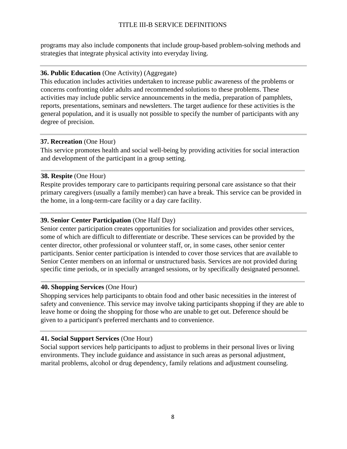programs may also include components that include group-based problem-solving methods and strategies that integrate physical activity into everyday living.

#### **36. Public Education** (One Activity) (Aggregate)

This education includes activities undertaken to increase public awareness of the problems or concerns confronting older adults and recommended solutions to these problems. These activities may include public service announcements in the media, preparation of pamphlets, reports, presentations, seminars and newsletters. The target audience for these activities is the general population, and it is usually not possible to specify the number of participants with any degree of precision.

#### **37. Recreation** (One Hour)

This service promotes health and social well-being by providing activities for social interaction and development of the participant in a group setting.

#### **38. Respite** (One Hour)

Respite provides temporary care to participants requiring personal care assistance so that their primary caregivers (usually a family member) can have a break. This service can be provided in the home, in a long-term-care facility or a day care facility.

#### **39. Senior Center Participation** (One Half Day)

Senior center participation creates opportunities for socialization and provides other services, some of which are difficult to differentiate or describe. These services can be provided by the center director, other professional or volunteer staff, or, in some cases, other senior center participants. Senior center participation is intended to cover those services that are available to Senior Center members on an informal or unstructured basis. Services are not provided during specific time periods, or in specially arranged sessions, or by specifically designated personnel.

#### **40. Shopping Services** (One Hour)

Shopping services help participants to obtain food and other basic necessities in the interest of safety and convenience. This service may involve taking participants shopping if they are able to leave home or doing the shopping for those who are unable to get out. Deference should be given to a participant's preferred merchants and to convenience.

#### **41. Social Support Services** (One Hour)

Social support services help participants to adjust to problems in their personal lives or living environments. They include guidance and assistance in such areas as personal adjustment, marital problems, alcohol or drug dependency, family relations and adjustment counseling.